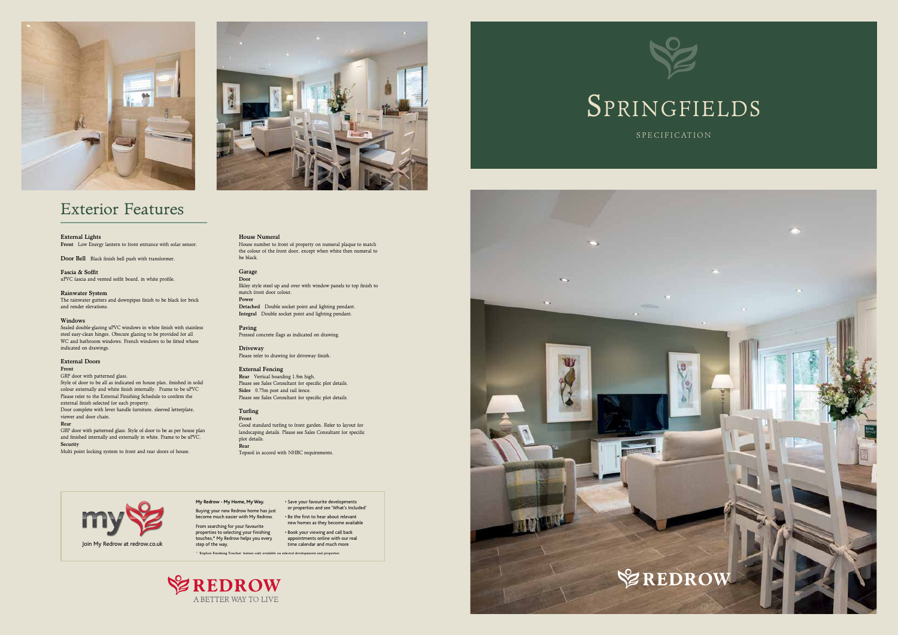# External Lights

Front Low Energy lantern to front entrance with solar sensor.

Door Bell Black finish bell push with transformer.

Fascia & Soffit uPVC fascia and vented soffit board, in white profile.

Rainwater System

The rainwater gutters and downpipes finish to be black for brick and render elevations.

#### Windows

Sealed double-glazing uPVC windows in white finish with stainless steel easy-clean hinges. Obscure glazing to be provided for all WC and bathroom windows. French windows to be fitted where indicated on drawings.

GRP door with patterned glass. Style of door to be all as indicated on house plan, finished in solid colour externally and white finish internally. Frame to be uPVC Please refer to the External Finishing Schedule to confirm the external finish selected for each property. Door complete with lever handle furniture, sleeved letterplate, viewer and door chain.

#### External Doors

# Front

Driveway Please refer to drawing for driveway finish.

### Rear

GRP door with patterned glass. Style of door to be as per house plan and finished internally and externally in white. Frame to be uPVC. Security

Multi point locking system to front and rear doors of house.

# House Numeral

new homes as they become available • Book your viewing and call back appointments online with our real<br>time calendar and much more

House number to front of property on numeral plaque to match the colour of the front door, except when white then numeral to be black.

# Garage

Door Ilkley style steel up and over with window panels to top finish to match front door colour. Power

Detached Double socket point and lighting pendant. Integral Double socket point and lighting pendant.

### Paving

Pressed concrete flags as indicated on drawing.

# External Fencing

Rear Vertical boarding 1.8m high. Please see Sales Consultant for specific plot details. Sides 0.75m post and rail fence. Please see Sales Consultant for specific plot details.

#### Turfing Front

Good standard turfing to front garden. Refer to layout for landscaping details. Please see Sales Consultant for specific plot details. Rear Topsoil in accord with NHBC requirements.





# Exterior Features

# **My Redrow - My Home, My Way.**

Buying your new Redrow home has just become much easier with My Redrow. From searching for your favourite

properties to selecting your finishing touches,\* My Redrow helps you every

step of the way.

• Save your favourite developments or properties and see 'What's Included' • Be the first to hear about relevant



\* 'Explore Finishing Touches' feature only available on selected developments and properties



SPRINGFIELDS

S P E C I F I C AT ION